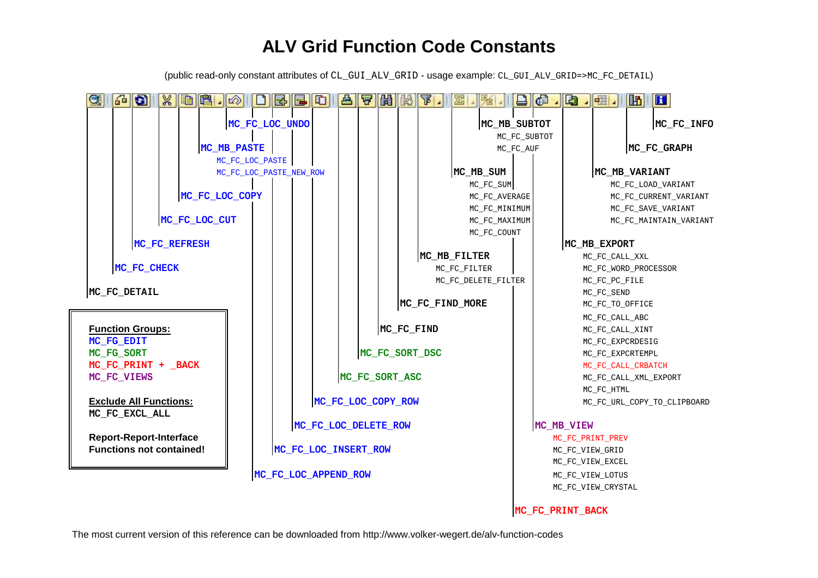## **ALV Grid Function Code Constants**

(public read-only constant attributes of CL\_GUI\_ALV\_GRID - usage example: CL\_GUI\_ALV\_GRID=>MC\_FC\_DETAIL)

| qigidi                                                                                    |               |                      |  |  | $\  \mathbb{B} \ $ in $\  \mathbb{A} \ $ |                         |             |  | E E                  | E |              | <b>PIAK</b> |                  | $\mathbf{F}$                   | 宏               |                      |                    | $\Box$ $\Box$ $\Box$ |                                     |                                             | $ \mathbb{F} $ | H          |  |  |
|-------------------------------------------------------------------------------------------|---------------|----------------------|--|--|------------------------------------------|-------------------------|-------------|--|----------------------|---|--------------|-------------|------------------|--------------------------------|-----------------|----------------------|--------------------|----------------------|-------------------------------------|---------------------------------------------|----------------|------------|--|--|
|                                                                                           |               |                      |  |  |                                          | MC_FC_LOC_UNDO          |             |  |                      |   |              |             |                  |                                |                 | MC_MB_SUBTOT         |                    |                      |                                     |                                             |                | MC_FC_INFO |  |  |
|                                                                                           |               |                      |  |  |                                          |                         |             |  |                      |   |              |             |                  |                                | MC_FC_SUBT0T    |                      |                    |                      |                                     |                                             |                |            |  |  |
|                                                                                           |               |                      |  |  |                                          |                         | MC_MB_PASTE |  |                      |   |              |             |                  |                                |                 |                      | MC_FC_AUF          |                      |                                     | MC_FC_GRAPH                                 |                |            |  |  |
|                                                                                           |               |                      |  |  |                                          | MC_FC_LOC_PASTE         |             |  |                      |   |              |             |                  |                                |                 |                      |                    |                      |                                     |                                             |                |            |  |  |
|                                                                                           |               |                      |  |  |                                          | MC_FC_LOC_PASTE_NEW_ROW |             |  |                      |   |              |             |                  | MC_MB_SUM                      |                 |                      |                    |                      |                                     | MC_MB_VARIANT                               |                |            |  |  |
|                                                                                           |               |                      |  |  |                                          | MC_FC_LOC_COPY          |             |  |                      |   |              |             |                  | MC_FC_SUM                      |                 |                      |                    |                      |                                     | MC_FC_LOAD_VARIANT<br>MC_FC_CURRENT_VARIANT |                |            |  |  |
|                                                                                           |               |                      |  |  |                                          |                         |             |  |                      |   |              |             |                  | MC_FC_AVERAGE<br>MC_FC_MINIMUM |                 |                      |                    | MC_FC_SAVE_VARIANT   |                                     |                                             |                |            |  |  |
|                                                                                           | MC_FC_LOC_CUT |                      |  |  |                                          |                         |             |  |                      |   |              |             |                  | MC_FC_MAXIMUM                  |                 |                      |                    |                      | MC_FC_MAINTAIN_VARIANT              |                                             |                |            |  |  |
|                                                                                           |               |                      |  |  |                                          |                         |             |  |                      |   |              |             |                  |                                |                 | MC_FC_COUNT          |                    |                      |                                     |                                             |                |            |  |  |
| MC_FC_REFRESH                                                                             |               |                      |  |  |                                          |                         |             |  |                      |   |              |             |                  |                                |                 |                      |                    |                      |                                     | MC_MB_EXPORT                                |                |            |  |  |
|                                                                                           |               |                      |  |  |                                          |                         |             |  |                      |   |              |             |                  | MC_MB_FILTER                   |                 |                      |                    |                      |                                     | MC_FC_CALL_XXL                              |                |            |  |  |
| MC_FC_CHECK                                                                               |               |                      |  |  |                                          |                         |             |  |                      |   | MC_FC_FILTER |             |                  |                                |                 | MC_FC_WORD_PROCESSOR |                    |                      |                                     |                                             |                |            |  |  |
| MC_FC_DETAIL                                                                              |               |                      |  |  |                                          |                         |             |  |                      |   |              |             |                  |                                |                 | MC_FC_DELETE_FILTER  |                    |                      |                                     | MC_FC_PC_FILE                               |                |            |  |  |
|                                                                                           |               |                      |  |  |                                          |                         |             |  |                      |   |              |             |                  |                                |                 |                      |                    |                      | MC_FC_SEND                          |                                             |                |            |  |  |
|                                                                                           |               |                      |  |  |                                          |                         |             |  |                      |   |              |             |                  |                                | MC_FC_FIND_MORE |                      |                    |                      |                                     | MC_FC_TO_OFFICE                             |                |            |  |  |
|                                                                                           |               |                      |  |  |                                          |                         |             |  |                      |   |              |             |                  |                                |                 |                      |                    |                      | MC_FC_CALL_ABC                      |                                             |                |            |  |  |
| <b>Function Groups:</b><br>MC_FG_EDIT<br>MC_FG_SORT<br>MC_FC_PRINT + _BACK<br>MC_FC_VIEWS |               |                      |  |  |                                          |                         | MC_FC_FIND  |  |                      |   |              |             |                  |                                |                 |                      | MC_FC_CALL_XINT    |                      |                                     |                                             |                |            |  |  |
|                                                                                           |               |                      |  |  |                                          |                         |             |  |                      |   |              |             |                  |                                |                 |                      |                    | MC_FC_EXPCRDESIG     |                                     |                                             |                |            |  |  |
|                                                                                           |               |                      |  |  |                                          | MC_FC_SORT_DSC          |             |  |                      |   |              |             |                  |                                |                 |                      |                    | MC_FC_EXPCRTEMPL     |                                     |                                             |                |            |  |  |
|                                                                                           |               |                      |  |  |                                          | MC_FC_SORT_ASC          |             |  |                      |   |              |             |                  |                                |                 |                      |                    |                      | MC_FC_CALL_CRBATCH                  |                                             |                |            |  |  |
|                                                                                           |               |                      |  |  |                                          |                         |             |  |                      |   |              |             |                  |                                |                 |                      |                    |                      | MC_FC_CALL_XML_EXPORT<br>MC_FC_HTML |                                             |                |            |  |  |
| <b>Exclude All Functions:</b>                                                             |               |                      |  |  |                                          | MC_FC_LOC_COPY_ROW      |             |  |                      |   |              |             |                  |                                |                 |                      |                    |                      |                                     | MC_FC_URL_COPY_TO_CLIPBOARD                 |                |            |  |  |
| MC FC EXCL ALL                                                                            |               |                      |  |  |                                          |                         |             |  |                      |   |              |             |                  |                                |                 |                      |                    |                      |                                     |                                             |                |            |  |  |
|                                                                                           |               |                      |  |  |                                          | MC_FC_LOC_DELETE_ROW    |             |  |                      |   |              |             |                  |                                |                 |                      | MC_MB_VIEW         |                      |                                     |                                             |                |            |  |  |
| <b>Report-Report-Interface</b>                                                            |               |                      |  |  |                                          |                         |             |  |                      |   |              |             | MC_FC_PRINT_PREV |                                |                 |                      |                    |                      |                                     |                                             |                |            |  |  |
| <b>Functions not contained!</b>                                                           |               | MC_FC_LOC_INSERT_ROW |  |  |                                          |                         |             |  |                      |   |              |             |                  | MC_FC_VIEW_GRID                |                 |                      |                    |                      |                                     |                                             |                |            |  |  |
|                                                                                           |               |                      |  |  |                                          |                         |             |  |                      |   |              |             | MC_FC_VIEW_EXCEL |                                |                 |                      |                    |                      |                                     |                                             |                |            |  |  |
|                                                                                           |               |                      |  |  |                                          |                         |             |  | MC_FC_LOC_APPEND_ROW |   |              |             |                  |                                |                 |                      | MC_FC_VIEW_LOTUS   |                      |                                     |                                             |                |            |  |  |
|                                                                                           |               |                      |  |  |                                          |                         |             |  |                      |   |              |             |                  |                                |                 |                      | MC_FC_VIEW_CRYSTAL |                      |                                     |                                             |                |            |  |  |
|                                                                                           |               |                      |  |  |                                          |                         |             |  |                      |   |              |             |                  |                                |                 |                      |                    |                      |                                     |                                             |                |            |  |  |
|                                                                                           |               |                      |  |  |                                          |                         |             |  |                      |   |              |             |                  |                                |                 |                      |                    | MC FC PRINT BACK     |                                     |                                             |                |            |  |  |

The most current version of this reference can be downloaded from http://www.volker-wegert.de/alv-function-codes